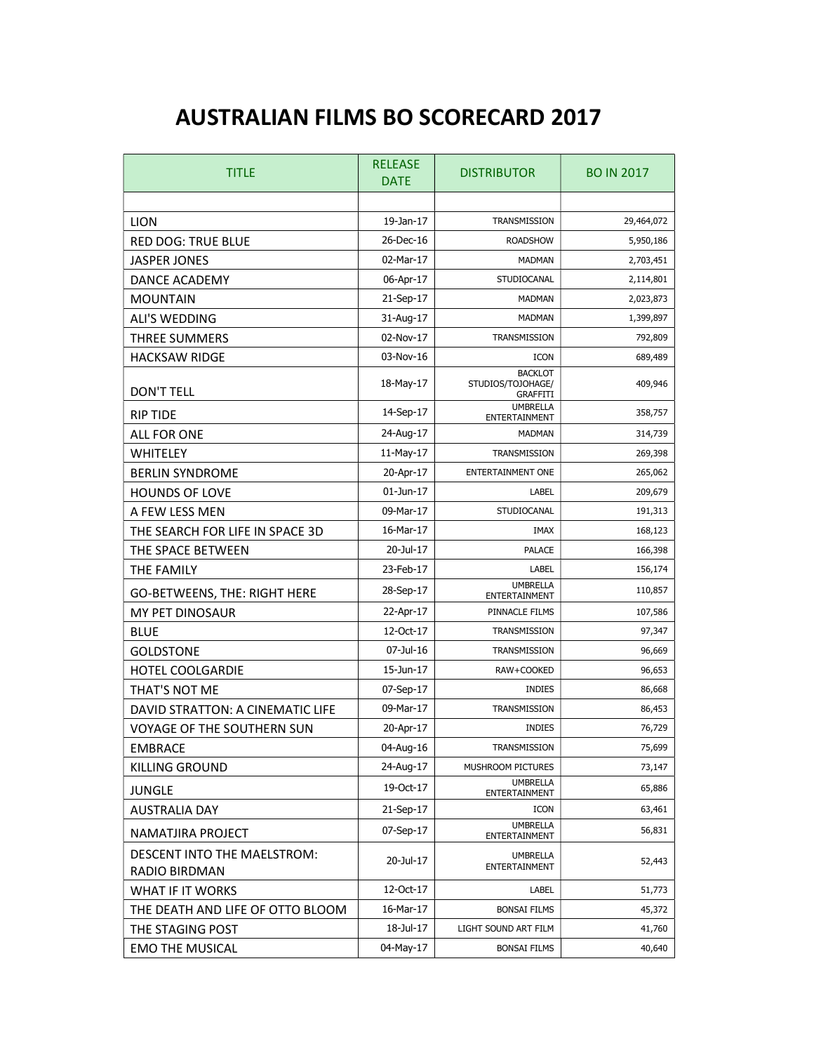## AUSTRALIAN FILMS BO SCORECARD 2017

| <b>TITLE</b>                                 | <b>RELEASE</b><br><b>DATE</b> | <b>DISTRIBUTOR</b>                                     | <b>BO IN 2017</b> |
|----------------------------------------------|-------------------------------|--------------------------------------------------------|-------------------|
|                                              |                               |                                                        |                   |
| <b>LION</b>                                  | 19-Jan-17                     | TRANSMISSION                                           | 29,464,072        |
| <b>RED DOG: TRUE BLUE</b>                    | 26-Dec-16                     | <b>ROADSHOW</b>                                        | 5,950,186         |
| <b>JASPER JONES</b>                          | 02-Mar-17                     | <b>MADMAN</b>                                          | 2,703,451         |
| <b>DANCE ACADEMY</b>                         | 06-Apr-17                     | STUDIOCANAL                                            | 2,114,801         |
| <b>MOUNTAIN</b>                              | 21-Sep-17                     | <b>MADMAN</b>                                          | 2,023,873         |
| <b>ALI'S WEDDING</b>                         | 31-Aug-17                     | <b>MADMAN</b>                                          | 1,399,897         |
| <b>THREE SUMMERS</b>                         | 02-Nov-17                     | TRANSMISSION                                           | 792,809           |
| <b>HACKSAW RIDGE</b>                         | 03-Nov-16                     | <b>ICON</b>                                            | 689,489           |
| DON'T TELL                                   | 18-May-17                     | <b>BACKLOT</b><br>STUDIOS/TOJOHAGE/<br><b>GRAFFITI</b> | 409,946           |
| <b>RIP TIDE</b>                              | 14-Sep-17                     | <b>UMBRELLA</b><br>ENTERTAINMENT                       | 358,757           |
| <b>ALL FOR ONE</b>                           | 24-Aug-17                     | <b>MADMAN</b>                                          | 314,739           |
| WHITELEY                                     | 11-May-17                     | TRANSMISSION                                           | 269,398           |
| <b>BERLIN SYNDROME</b>                       | 20-Apr-17                     | <b>ENTERTAINMENT ONE</b>                               | 265,062           |
| <b>HOUNDS OF LOVE</b>                        | 01-Jun-17                     | LABEL                                                  | 209,679           |
| A FEW LESS MEN                               | 09-Mar-17                     | STUDIOCANAL                                            | 191,313           |
| THE SEARCH FOR LIFE IN SPACE 3D              | 16-Mar-17                     | <b>IMAX</b>                                            | 168,123           |
| THE SPACE BETWEEN                            | 20-Jul-17                     | PALACE                                                 | 166,398           |
| THE FAMILY                                   | 23-Feb-17                     | LABEL                                                  | 156,174           |
| GO-BETWEENS, THE: RIGHT HERE                 | 28-Sep-17                     | <b>UMBRELLA</b><br>ENTERTAINMENT                       | 110,857           |
| <b>MY PET DINOSAUR</b>                       | 22-Apr-17                     | PINNACLE FILMS                                         | 107,586           |
| <b>BLUE</b>                                  | 12-Oct-17                     | TRANSMISSION                                           | 97,347            |
| <b>GOLDSTONE</b>                             | 07-Jul-16                     | TRANSMISSION                                           | 96,669            |
| <b>HOTEL COOLGARDIE</b>                      | 15-Jun-17                     | RAW+COOKED                                             | 96,653            |
| THAT'S NOT ME                                | 07-Sep-17                     | <b>INDIES</b>                                          | 86,668            |
| DAVID STRATTON: A CINEMATIC LIFE             | 09-Mar-17                     | TRANSMISSION                                           | 86,453            |
| <b>VOYAGE OF THE SOUTHERN SUN</b>            | 20-Apr-17                     | <b>INDIES</b>                                          | 76,729            |
| <b>EMBRACE</b>                               | 04-Aug-16                     | TRANSMISSION                                           | 75,699            |
| <b>KILLING GROUND</b>                        | 24-Aug-17                     | MUSHROOM PICTURES                                      | 73,147            |
| <b>JUNGLE</b>                                | 19-Oct-17                     | <b>UMBRELLA</b><br><b>ENTERTAINMENT</b>                | 65,886            |
| <b>AUSTRALIA DAY</b>                         | 21-Sep-17                     | ICON                                                   | 63,461            |
| NAMATJIRA PROJECT                            | 07-Sep-17                     | <b>UMBRELLA</b><br>ENTERTAINMENT                       | 56,831            |
| DESCENT INTO THE MAELSTROM:<br>RADIO BIRDMAN | 20-Jul-17                     | <b>UMBRELLA</b><br>ENTERTAINMENT                       | 52,443            |
| <b>WHAT IF IT WORKS</b>                      | 12-Oct-17                     | LABEL                                                  | 51,773            |
| THE DEATH AND LIFE OF OTTO BLOOM             | 16-Mar-17                     | <b>BONSAI FILMS</b>                                    | 45,372            |
| THE STAGING POST                             | 18-Jul-17                     | LIGHT SOUND ART FILM                                   | 41,760            |
| <b>EMO THE MUSICAL</b>                       | 04-May-17                     | <b>BONSAI FILMS</b>                                    | 40,640            |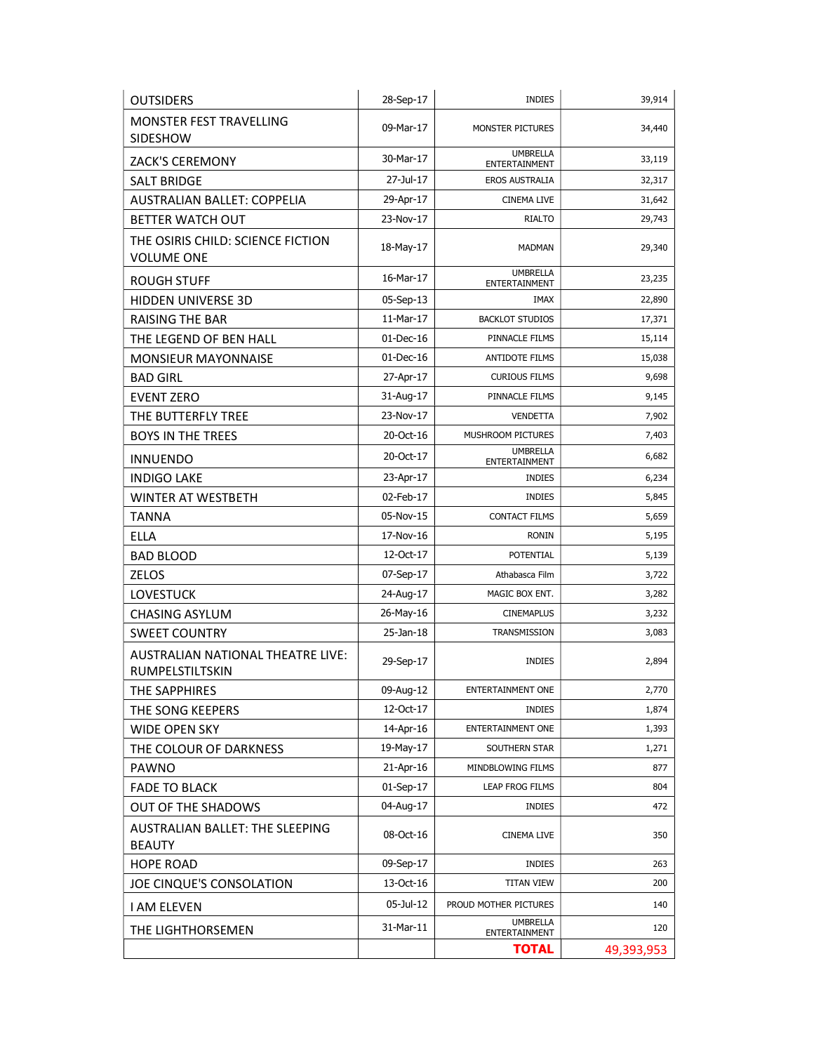| <b>OUTSIDERS</b>                                       | 28-Sep-17    | <b>INDIES</b>                    | 39,914     |
|--------------------------------------------------------|--------------|----------------------------------|------------|
| <b>MONSTER FEST TRAVELLING</b><br>SIDESHOW             | 09-Mar-17    | MONSTER PICTURES                 | 34,440     |
| ZACK'S CEREMONY                                        | 30-Mar-17    | <b>UMBRELLA</b><br>ENTERTAINMENT | 33,119     |
| <b>SALT BRIDGE</b>                                     | 27-Jul-17    | EROS AUSTRALIA                   | 32,317     |
| AUSTRALIAN BALLET: COPPELIA                            | 29-Apr-17    | <b>CINEMA LIVE</b>               | 31,642     |
| BETTER WATCH OUT                                       | 23-Nov-17    | <b>RIALTO</b>                    | 29,743     |
| THE OSIRIS CHILD: SCIENCE FICTION<br><b>VOLUME ONE</b> | 18-May-17    | <b>MADMAN</b>                    | 29,340     |
| <b>ROUGH STUFF</b>                                     | 16-Mar-17    | <b>UMBRELLA</b><br>ENTERTAINMENT | 23,235     |
| HIDDEN UNIVERSE 3D                                     | 05-Sep-13    | IMAX                             | 22,890     |
| <b>RAISING THE BAR</b>                                 | 11-Mar-17    | <b>BACKLOT STUDIOS</b>           | 17,371     |
| THE LEGEND OF BEN HALL                                 | 01-Dec-16    | PINNACLE FILMS                   | 15,114     |
| <b>MONSIEUR MAYONNAISE</b>                             | $01$ -Dec-16 | <b>ANTIDOTE FILMS</b>            | 15,038     |
| <b>BAD GIRL</b>                                        | 27-Apr-17    | <b>CURIOUS FILMS</b>             | 9,698      |
| <b>EVENT ZERO</b>                                      | 31-Aug-17    | PINNACLE FILMS                   | 9,145      |
| THE BUTTERFLY TREE                                     | 23-Nov-17    | <b>VENDETTA</b>                  | 7,902      |
| <b>BOYS IN THE TREES</b>                               | 20-Oct-16    | MUSHROOM PICTURES                | 7,403      |
| <b>INNUENDO</b>                                        | 20-Oct-17    | <b>UMBRELLA</b><br>ENTERTAINMENT | 6,682      |
| <b>INDIGO LAKE</b>                                     | 23-Apr-17    | <b>INDIES</b>                    | 6,234      |
| <b>WINTER AT WESTBETH</b>                              | 02-Feb-17    | <b>INDIES</b>                    | 5,845      |
| <b>TANNA</b>                                           | 05-Nov-15    | <b>CONTACT FILMS</b>             | 5,659      |
| <b>ELLA</b>                                            | 17-Nov-16    | <b>RONIN</b>                     | 5,195      |
| <b>BAD BLOOD</b>                                       | 12-Oct-17    | <b>POTENTIAL</b>                 | 5,139      |
| <b>ZELOS</b>                                           | 07-Sep-17    | Athabasca Film                   | 3,722      |
| <b>LOVESTUCK</b>                                       | 24-Aug-17    | MAGIC BOX ENT.                   | 3,282      |
| <b>CHASING ASYLUM</b>                                  | 26-May-16    | <b>CINEMAPLUS</b>                | 3,232      |
| <b>SWEET COUNTRY</b>                                   | 25-Jan-18    | TRANSMISSION                     | 3,083      |
| AUSTRALIAN NATIONAL THEATRE LIVE:<br>RUMPELSTILTSKIN   | 29-Sep-17    | <b>INDIES</b>                    | 2,894      |
| THE SAPPHIRES                                          | 09-Aug-12    | ENTERTAINMENT ONE                | 2,770      |
| THE SONG KEEPERS                                       | 12-Oct-17    | <b>INDIES</b>                    | 1,874      |
| <b>WIDE OPEN SKY</b>                                   | 14-Apr-16    | <b>ENTERTAINMENT ONE</b>         | 1,393      |
| THE COLOUR OF DARKNESS                                 | 19-May-17    | SOUTHERN STAR                    | 1,271      |
| <b>PAWNO</b>                                           | 21-Apr-16    | MINDBLOWING FILMS                | 877        |
| <b>FADE TO BLACK</b>                                   | $01-Sep-17$  | LEAP FROG FILMS                  | 804        |
| <b>OUT OF THE SHADOWS</b>                              | 04-Aug-17    | <b>INDIES</b>                    | 472        |
| AUSTRALIAN BALLET: THE SLEEPING<br><b>BEAUTY</b>       | 08-Oct-16    | CINEMA LIVE                      | 350        |
| <b>HOPE ROAD</b>                                       | 09-Sep-17    | <b>INDIES</b>                    | 263        |
| JOE CINQUE'S CONSOLATION                               | 13-Oct-16    | <b>TITAN VIEW</b>                | 200        |
| <b>I AM ELEVEN</b>                                     | 05-Jul-12    | PROUD MOTHER PICTURES            | 140        |
| THE LIGHTHORSEMEN                                      | 31-Mar-11    | <b>UMBRELLA</b><br>ENTERTAINMENT | 120        |
|                                                        |              | <b>TOTAL</b>                     | 49,393,953 |